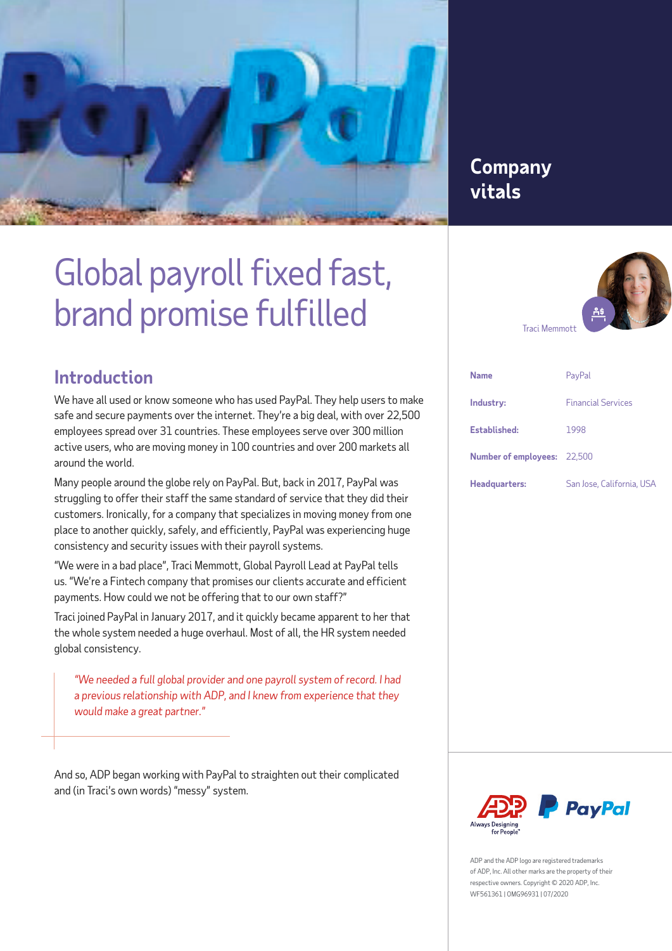

# **Company vitals**

# Global payroll fixed fast, brand promise fulfilled



### **Introduction**

We have all used or know someone who has used PayPal. They help users to make safe and secure payments over the internet. They're a big deal, with over 22,500 employees spread over 31 countries. These employees serve over 300 million active users, who are moving money in 100 countries and over 200 markets all around the world.

Many people around the globe rely on PayPal. But, back in 2017, PayPal was struggling to offer their staff the same standard of service that they did their customers. Ironically, for a company that specializes in moving money from one place to another quickly, safely, and efficiently, PayPal was experiencing huge consistency and security issues with their payroll systems.

"We were in a bad place", Traci Memmott, Global Payroll Lead at PayPal tells us. "We're a Fintech company that promises our clients accurate and efficient payments. How could we not be offering that to our own staff?"

Traci joined PayPal in January 2017, and it quickly became apparent to her that the whole system needed a huge overhaul. Most of all, the HR system needed global consistency.

*"We needed a full global provider and one payroll system of record. I had a previous relationship with ADP, and I knew from experience that they would make a great partner."*

And so, ADP began working with PayPal to straighten out their complicated and (in Traci's own words) "messy" system.

| <b>Name</b>                        | PayPal                    |
|------------------------------------|---------------------------|
| Industry:                          | <b>Financial Services</b> |
| Established:                       | 1998                      |
| <b>Number of employees:</b> 22,500 |                           |
| Headquarters:                      | San Jose, California, USA |



ADP and the ADP logo are registered trademarks of ADP, Inc. All other marks are the property of their respective owners. Copyright © 2020 ADP, Inc. WF561361 | OMG96931 | 07/2020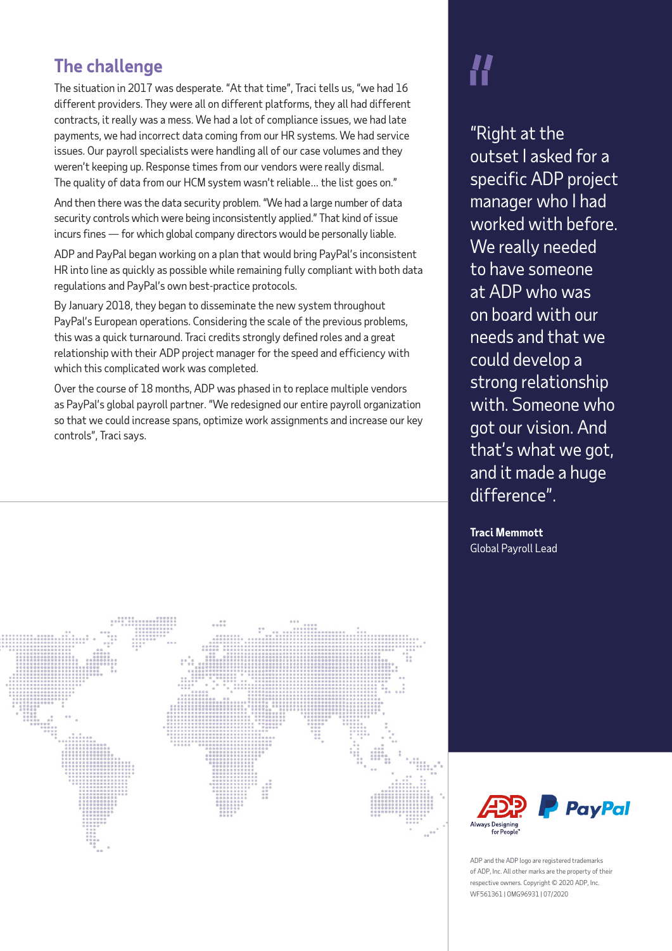## **The challenge**

The situation in 2017 was desperate. "At that time", Traci tells us, "we had 16 different providers. They were all on different platforms, they all had different contracts, it really was a mess. We had a lot of compliance issues, we had late payments, we had incorrect data coming from our HR systems. We had service issues. Our payroll specialists were handling all of our case volumes and they weren't keeping up. Response times from our vendors were really dismal. The quality of data from our HCM system wasn't reliable… the list goes on."

And then there was the data security problem. "We had a large number of data security controls which were being inconsistently applied." That kind of issue incurs fines — for which global company directors would be personally liable.

ADP and PayPal began working on a plan that would bring PayPal's inconsistent HR into line as quickly as possible while remaining fully compliant with both data regulations and PayPal's own best-practice protocols.

By January 2018, they began to disseminate the new system throughout PayPal's European operations. Considering the scale of the previous problems, this was a quick turnaround. Traci credits strongly defined roles and a great relationship with their ADP project manager for the speed and efficiency with which this complicated work was completed.

Over the course of 18 months, ADP was phased in to replace multiple vendors as PayPal's global payroll partner. "We redesigned our entire payroll organization so that we could increase spans, optimize work assignments and increase our key controls", Traci says.



"Right at the outset I asked for a specific ADP project manager who I had worked with before. We really needed to have someone at ADP who was on board with our needs and that we could develop a strong relationship with. Someone who got our vision. And that's what we got, and it made a huge difference".

**Traci Memmott**  Global Payroll Lead



ADP and the ADP logo are registered trademarks of ADP, Inc. All other marks are the property of their respective owners. Copyright © 2020 ADP, Inc. WF561361 | OMG96931 | 07/2020